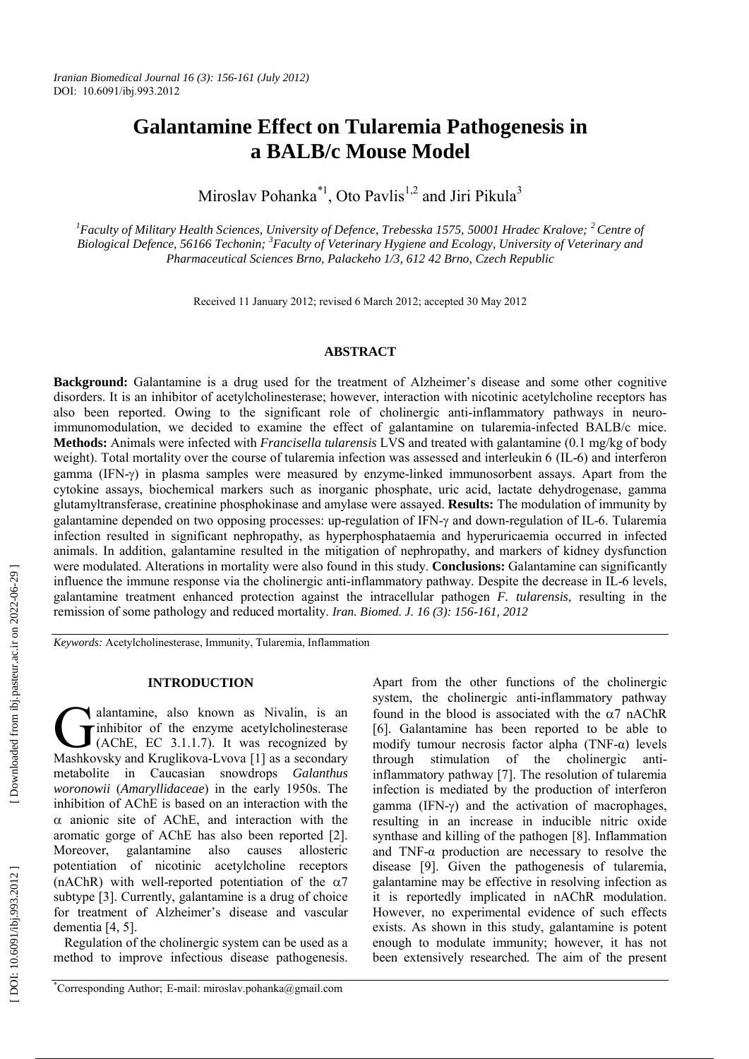# **Galantamine Effect on Tularemia Pathogenesis in a BALB/c Mouse Model**

Miroslav Pohanka<sup>\*1</sup>, Oto Pavlis<sup>1,2</sup> and Jiri Pikula<sup>3</sup>

<sup>1</sup> Faculty of Military Health Sciences, University of Defence, Trebesska 1575, 50001 Hradec Kralove; <sup>2</sup> Centre of Biological Defence, 56166 Techonin; <sup>3</sup> Faculty of Veterinary Hygiene and Ecology, University of Veterinary and *Pharmaceutical Sciences Brno, Palackeho 1/3, 612 42 Brno, Czech Republic*

Received 11 January 2012; revised 6 March 2012; accepted 30 May 2012

#### **ABSTRACT**

**Background:** Galantamine is a drug used for the treatment of Alzheimer's disease and some other cognitive disorders. It is an inhibitor of acetylcholinesterase; however, interaction with nicotinic acetylcholine receptors has also been reported. Owing to the significant role of cholinergic anti-inflammatory pathways in neuroimmunomodulation, we decided to examine the effect of galantamine on tularemia-infected BALB/c mice. **Methods:** Animals were infected with *Francisella tularensis* LVS and treated with galantamine (0.1 mg/kg of body weight). Total mortality over the course of tularemia infection was assessed and interleukin 6 (IL-6) and interferon gamma (IFN- $\gamma$ ) in plasma samples were measured by enzyme-linked immunosorbent assays. Apart from the cytokine assays, biochemical markers such as inorganic phosphate, uric acid, lactate dehydrogenase, gamma glutamyltransferase, creatinine phosphokinase and amylase were assayed. **Results:** The modulation of immunity by galantamine depended on two opposing processes: up-regulation of IFN- $\gamma$  and down-regulation of IL-6. Tularemia infection resulted in significant nephropathy, as hyperphosphataemia and hyperuricaemia occurred in infected animals. In addition, galantamine resulted in the mitigation of nephropathy, and markers of kidney dysfunction were modulated. Alterations in mortality were also found in this study. **Conclusions:** Galantamine can significantly influence the immune response via the cholinergic anti-inflammatory pathway. Despite the decrease in IL-6 levels, galantamine treatment enhanced protection against the intracellular pathogen *F. tularensis*, resulting in the remission of some pathology and reduced mortality. *Iran. Biomed. J. 16 (3): 156-161, 2012*

*Keywords:* Acetylcholinesterase, Immunity, Tularemia, Inflammation

## **INTRODUCTION**

alantamine, also known as Nivalin, is an inhibitor of the enzyme acetylcholinesterase (AChE, EC 3.1.1.7). It was recognized by **C** alantamine, also known as Nivalin, is an inhibitor of the enzyme acetylcholinesterase (AChE, EC 3.1.1.7). It was recognized by Mashkovsky and Kruglikova-Lvova [1] as a secondary metabolite in Caucasian snowdrops *Galanthus woronowii* (*Amaryllidaceae*) in the early 1950s. The inhibition of AChE is based on an interaction with the  $\alpha$  anionic site of AChE, and interaction with the aromatic gorge of AChE has also been reported [2]. Moreover, galantamine also causes allosteric potentiation of nicotinic acetylcholine receptors (nAChR) with well-reported potentiation of the  $\alpha$ 7 subtype [3]. Currently, galantamine is a drug of choice for treatment of Alzheimer's disease and vascular dementia [4, 5].

Regulation of the cholinergic system can be used as a method to improve infectious disease pathogenesis. Apart from the other functions of the cholinergic system, the cholinergic anti-inflammatory pathway found in the blood is associated with the  $\alpha$ 7 nAChR [6]. Galantamine has been reported to be able to modify tumour necrosis factor alpha (TNF-α) levels through stimulation of the cholinergic antiinflammatory pathway [7]. The resolution of tularemia infection is mediated by the production of interferon gamma (IFN- ) and the activation of macrophages, resulting in an increase in inducible nitric oxide synthase and killing of the pathogen [8]. Inflammation and TNF-α production are necessary to resolve the disease [9]. Given the pathogenesis of tularemia, galantamine may be effective in resolving infection as it is reportedly implicated in nAChR modulation. However, no experimental evidence of such effects exists. As shown in this study, galantamine is potent enough to modulate immunity; however, it has not been extensively researched. The aim of the present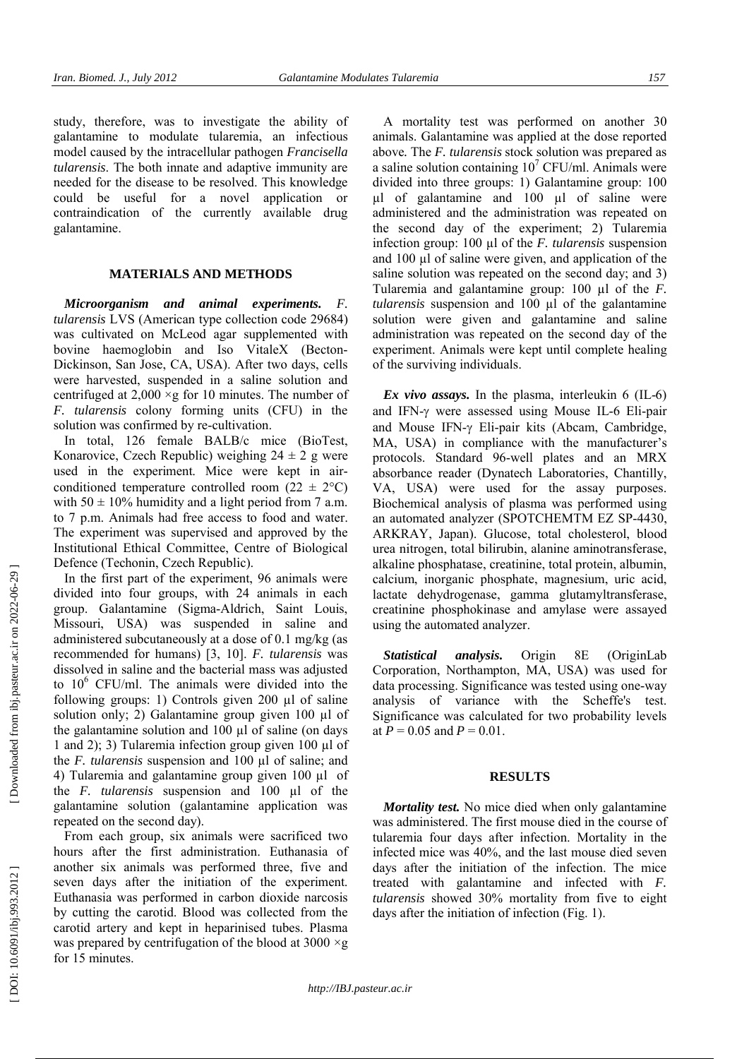study, therefore, was to investigate the ability of galantamine to modulate tularemia, an infectious model caused by the intracellular pathogen *Francisella tularensis*. The both innate and adaptive immunity are needed for the disease to be resolved. This knowledge could be useful for a novel application or contraindication of the currently available drug galantamine.

## **MATERIALS AND METHODS**

*Microorganism and animal experiments. F. tularensis* LVS (American type collection code 29684) was cultivated on McLeod agar supplemented with bovine haemoglobin and Iso VitaleX (Becton-Dickinson, San Jose, CA, USA). After two days, cells were harvested, suspended in a saline solution and centrifuged at  $2,000 \times g$  for 10 minutes. The number of *F. tularensis* colony forming units (CFU) in the solution was confirmed by re-cultivation.

In total, 126 female BALB/c mice (BioTest, Konarovice, Czech Republic) weighing  $24 \pm 2$  g were used in the experiment. Mice were kept in airconditioned temperature controlled room (22  $\pm$  2°C) with  $50 \pm 10\%$  humidity and a light period from 7 a.m. to 7 p.m. Animals had free access to food and water. The experiment was supervised and approved by the Institutional Ethical Committee, Centre of Biological Defence (Techonin, Czech Republic).

In the first part of the experiment, 96 animals were divided into four groups, with 24 animals in each group. Galantamine (Sigma-Aldrich, Saint Louis, Missouri, USA) was suspended in saline and administered subcutaneously at a dose of 0.1 mg/kg (as recommended for humans) [3, 10]. *F. tularensis* was dissolved in saline and the bacterial mass was adjusted to 10 <sup>6</sup> CFU/ml. The animals were divided into the following groups: 1) Controls given 200 µl of saline solution only; 2) Galantamine group given 100 µl of the galantamine solution and  $100 \mu l$  of saline (on days 1 and 2); 3) Tularemia infection group given 100 µl of the *F. tularensis* suspension and 100 µl of saline; and 4) Tularemia and galantamine group given 100 µl of the *F. tularensis* suspension and 100 µl of the galantamine solution (galantamine application was repeated on the second day).

From each group, six animals were sacrificed two hours after the first administration. Euthanasia of another six animals was performed three, five and seven days after the initiation of the experiment. Euthanasia was performed in carbon dioxide narcosis by cutting the carotid. Blood was collected from the carotid artery and kept in heparinised tubes. Plasma was prepared by centrifugation of the blood at  $3000 \times g$ for 15 minutes.

A mortality test was performed on another 30 animals. Galantamine was applied at the dose reported above *.* The *F. tularensis* stock solution was prepared as a saline solution containing  $10^7$  CFU/ml. Animals were divided into three groups: 1) Galantamine group: 100 µl of galantamine and 100 µl of saline were administered and the administration was repeated on the second day of the experiment; 2) Tularemia infection group: 100 µl of the *F. tularensis* suspension and 100 µl of saline were given, and application of the saline solution was repeated on the second day; and 3) Tularemia and galantamine group: 100 µl of the *F. tularensis* suspension and 100 µl of the galantamine solution were given and galantamine and saline administration was repeated on the second day of the experiment. Animals were kept until complete healing of the surviving individuals.

*Ex vivo assays.* In the plasma, interleukin 6 (IL-6) and IFN- were assessed using Mouse IL-6 Eli-pair and Mouse IFN- Eli-pair kits (Abcam, Cambridge, MA, USA) in compliance with the manufacturer's protocols. Standard 96-well plates and an MRX absorbance reader (Dynatech Laboratories, Chantilly, VA, USA) were used for the assay purposes. Biochemical analysis of plasma was performed using an automated analyzer (SPOTCHEMTM EZ SP-4430, ARKRAY, Japan). Glucose, total cholesterol, blood urea nitrogen, total bilirubin, alanine aminotransferase, alkaline phosphatase, creatinine, total protein, albumin, calcium, inorganic phosphate, magnesium, uric acid, lactate dehydrogenase, gamma glutamyltransferase, creatinine phosphokinase and amylase were assayed using the automated analyzer.

*Statistical analysis.* Origin 8E (OriginLab Corporation, Northampton, MA, USA) was used for data processing. Significance was tested using one-way analysis of variance with the Scheffe's test. Significance was calculated for two probability levels at  $P = 0.05$  and  $P = 0.01$ .

#### **RESULTS**

*Mortality test.* No mice died when only galantamine was administered. The first mouse died in the course of tularemia four days after infection. Mortality in the infected mice was 40%, and the last mouse died seven days after the initiation of the infection. The mice treated with galantamine and infected with *F. tularensis* showed 30% mortality from five to eight days after the initiation of infection (Fig. 1).

 [\[ DOI: 10.6091/ibj.993.2012 \]](http://dx.doi.org/10.6091/ibj.993.2012) [\[ Downloaded from ibj.pasteur.ac.ir on 202](http://ibj.pasteur.ac.ir/article-1-712-en.html)2-06-29 ] [Downloaded from ibj.pasteur.ac.ir on 2022-06-29] DOI: 10.6091/ibj.993.2012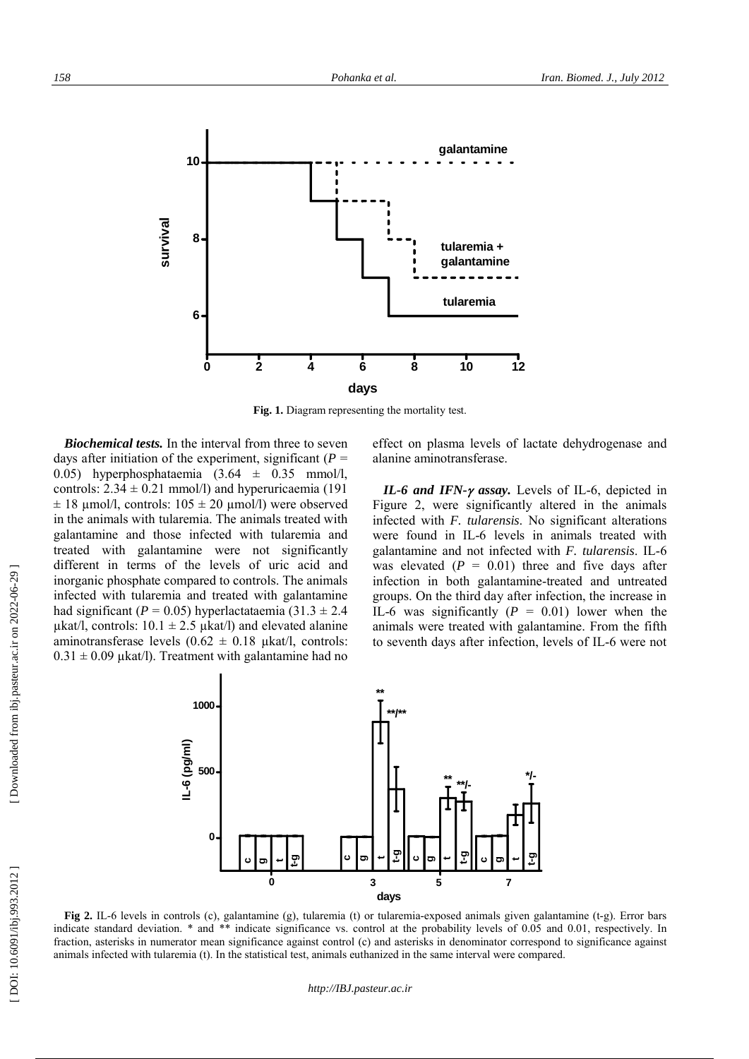

**Fig. 1.** Diagram representing the mortality test.

*Biochemical tests.* In the interval from three to seven days after initiation of the experiment, significant  $(P =$ 0.05) hyperphosphataemia  $(3.64 \pm 0.35 \text{ mmol/l})$ controls:  $2.34 \pm 0.21$  mmol/l) and hyperuricaemia (191  $\pm$  18 umol/l, controls: 105  $\pm$  20 umol/l) were observed in the animals with tularemia. The animals treated with galantamine and those infected with tularemia and treated with galantamine were not significantly different in terms of the levels of uric acid and inorganic phosphate compared to controls. The animals infected with tularemia and treated with galantamine had significant ( $P = 0.05$ ) hyperlactataemia (31.3  $\pm$  2.4  $\mu$ kat/l, controls: 10.1  $\pm$  2.5  $\mu$ kat/l) and elevated alanine aminotransferase levels  $(0.62 \pm 0.18 \text{ \mu kat/l}, \text{ controls})$ :  $0.31 \pm 0.09$  µkat/l). Treatment with galantamine had no

effect on plasma levels of lactate dehydrogenase and alanine aminotransferase.

*IL-6 and IFN-y assay.* Levels of IL-6, depicted in Figure 2, were significantly altered in the animals infected with *F. tularensis*. No significant alterations were found in IL-6 levels in animals treated with galantamine and not infected with *F. tularensis*. IL-6 was elevated  $(P = 0.01)$  three and five days after infection in both galantamine-treated and untreated groups. On the third day after infection, the increase in IL-6 was significantly  $(P = 0.01)$  lower when the animals were treated with galantamine. From the fifth to seventh days after infection, levels of IL-6 were not



**Fig 2.** IL-6 levels in controls (c), galantamine (g), tularemia (t) or tularemia-exposed animals given galantamine (t-g). Error bars indicate standard deviation. \* and \*\* indicate significance vs. control at the probability levels of 0.05 and 0.01, respectively. In fraction, asterisks in numerator mean significance against control (c) and asterisks in denominator correspond to significance against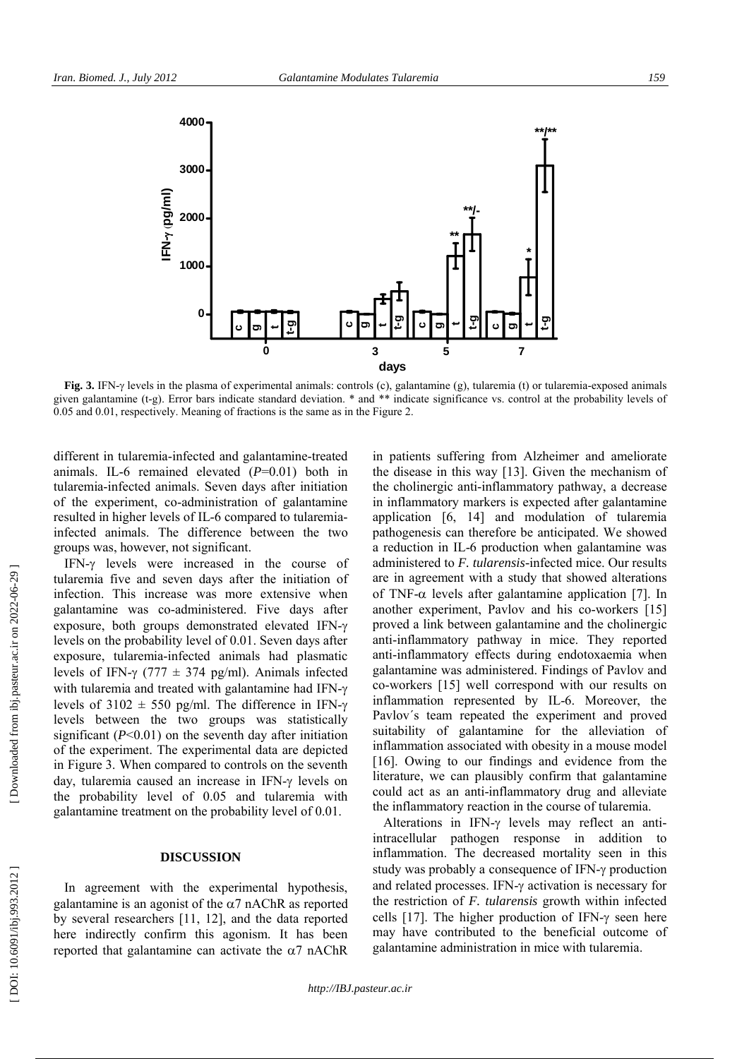

**Fig. 3.** IFN- $\gamma$  levels in the plasma of experimental animals: controls (c), galantamine (g), tularemia (t) or tularemia-exposed animals given galantamine (t-g). Error bars indicate standard deviation. \* and \*\* indicate significance vs. control at the probability levels of 0.05 and 0.01, respectively. Meaning of fractions is the same as in the Figure 2.

different in tularemia-infected and galantamine-treated animals. IL-6 remained elevated ( *P*=0.01) both in tularemia-infected animals. Seven days after initiation of the experiment, co-administration of galantamine resulted in higher levels of IL-6 compared to tularemiainfected animals. The difference between the two groups was, however, not significant.

IFN- $\gamma$  levels were increased in the course of tularemia five and seven days after the initiation of infection. This increase was more extensive when galantamine was co-administered. Five days after exposure, both groups demonstrated elevated IFN levels on the probability level of 0.01. Seven days after exposure, tularemia-infected animals had plasmatic levels of IFN- $\gamma$  (777  $\pm$  374 pg/ml). Animals infected with tularemia and treated with galantamine had IFN- $\gamma$ levels of 3102  $\pm$  550 pg/ml. The difference in IFN- $\gamma$ levels between the two groups was statistically significant  $(P<0.01)$  on the seventh day after initiation of the experiment. The experimental data are depicted in Figure 3. When compared to controls on the seventh day, tularemia caused an increase in IFN- levels on the probability level of 0.05 and tularemia with galantamine treatment on the probability level of 0.01.

#### **DISCUSSION**

In agreement with the experimental hypothesis, galantamine is an agonist of the  $\alpha$ 7 nAChR as reported by several researchers [11, 12], and the data reported here indirectly confirm this agonism. It has been reported that galantamine can activate the  $\alpha$ 7 nAChR in patients suffering from Alzheimer and ameliorate the disease in this way [13]. Given the mechanism of the cholinergic anti-inflammatory pathway, a decrease in inflammatory markers is expected after galantamine application [6, 14] and modulation of tularemia pathogenesis can therefore be anticipated. We showed a reduction in IL-6 production when galantamine was administered to *F. tularensis-*infected mice. Our results are in agreement with a study that showed alterations of TNF- $\alpha$  levels after galantamine application [7]. In another experiment, Pavlov and his co-workers [15] proved a link between galantamine and the cholinergic anti-inflammatory pathway in mice. They reported anti-inflammatory effects during endotoxaemia when galantamine was administered. Findings of Pavlov and co-workers [15] well correspond with our results on inflammation represented by IL-6. Moreover, the Pavlov´s team repeated the experiment and proved suitability of galantamine for the alleviation of inflammation associated with obesity in a mouse model [16]. Owing to our findings and evidence from the literature, we can plausibly confirm that galantamine could act as an anti-inflammatory drug and alleviate the inflammatory reaction in the course of tularemia.

Alterations in IFN- $\gamma$  levels may reflect an antiintracellular pathogen response in addition to inflammation. The decreased mortality seen in this study was probably a consequence of IFN- $\gamma$  production and related processes. IFN- activation is necessary for the restriction of *F. tularensis* growth within infected cells  $[17]$ . The higher production of IFN- $\gamma$  seen here may have contributed to the beneficial outcome of galantamine administration in mice with tularemia.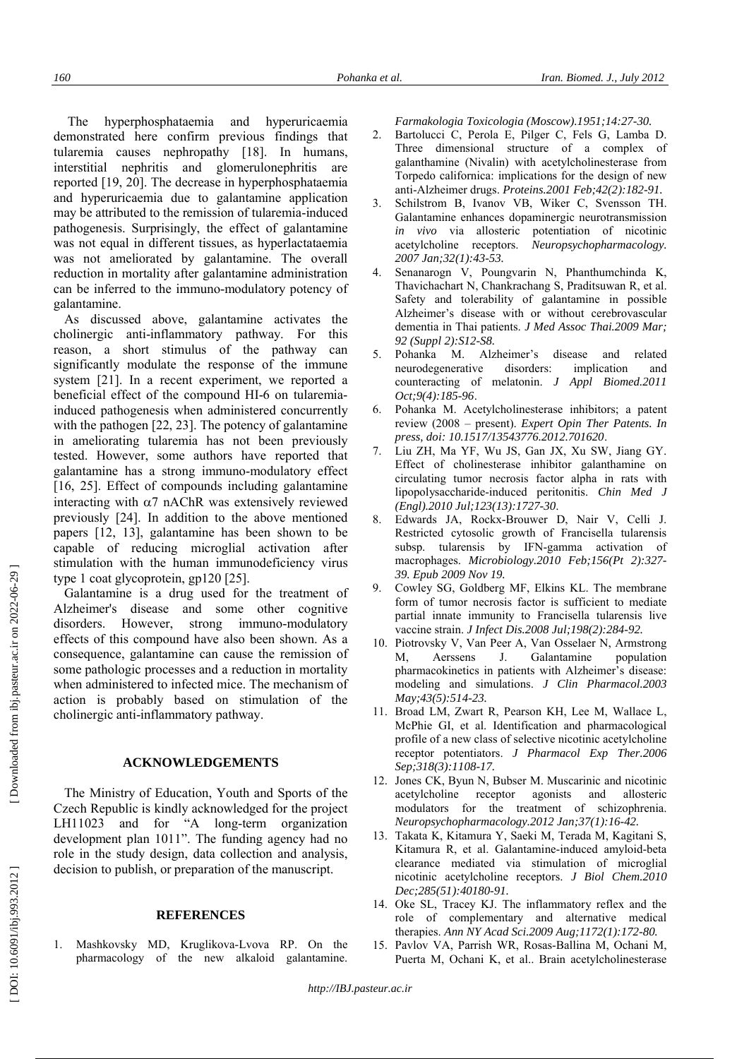The hyperphosphataemia and hyperuricaemia demonstrated here confirm previous findings that tularemia causes nephropathy [18]. In humans, interstitial nephritis and glomerulonephritis are reported [19, 20]. The decrease in hyperphosphataemia and hyperuricaemia due to galantamine application may be attributed to the remission of tularemia-induced pathogenesis. Surprisingly, the effect of galantamine was not equal in different tissues, as hyperlactataemia was not ameliorated by galantamine. The overall reduction in mortality after galantamine administration can be inferred to the immuno-modulatory potency of galantamine.

As discussed above, galantamine activates the cholinergic anti-inflammatory pathway. For this reason, a short stimulus of the pathway can significantly modulate the response of the immune system [21]. In a recent experiment, we reported a beneficial effect of the compound HI-6 on tularemiainduced pathogenesis when administered concurrently with the pathogen [22, 23]. The potency of galantamine in ameliorating tularemia has not been previously tested. However, some authors have reported that galantamine has a strong immuno-modulatory effect [16, 25]. Effect of compounds including galantamine interacting with  $\alpha$ 7 nAChR was extensively reviewed previously [24]. In addition to the above mentioned papers [12, 13], galantamine has been shown to be capable of reducing microglial activation after stimulation with the human immunodeficiency virus type 1 coat glycoprotein, gp120 [25].

Galantamine is a drug used for the treatment of Alzheimer's disease and some other cognitive disorders. However, strong immuno-modulatory effects of this compound have also been shown. As a consequence, galantamine can cause the remission of some pathologic processes and a reduction in mortality when administered to infected mice. The mechanism of action is probably based on stimulation of the cholinergic anti-inflammatory pathway.

#### **ACKNOWLEDGEMENTS**

The Ministry of Education, Youth and Sports of the Czech Republic is kindly acknowledged for the project LH11023 and for "A long-term organization development plan 1011". The funding agency had no role in the study design, data collection and analysis, decision to publish, or preparation of the manuscript.

#### **REFERENCES**

1. Mashkovsky MD, Kruglikova-Lvova RP. On the pharmacology of the new alkaloid galantamine.

*Farmakologia Toxicologia (Moscow).1951;14:27-30.*

- 2. Bartolucci C, Perola E, Pilger C, Fels G, Lamba D. Three dimensional structure of a complex of galanthamine (Nivalin) with acetylcholinesterase from Torpedo californica: implications for the design of new anti-Alzheimer drugs. *Proteins.2001 Feb;42(2):182-91.*
- 3. Schilstrom B, Ivanov VB, Wiker C, Svensson TH. Galantamine enhances dopaminergic neurotransmission *in vivo* via allosteric potentiation of nicotinic acetylcholine receptors. *Neuropsychopharmacology. 2007 Jan;32(1):43-53.*
- 4. Senanarogn V, Poungvarin N, Phanthumchinda K, Thavichachart N, Chankrachang S, Praditsuwan R, et al. Safety and tolerability of galantamine in possible Alzheimer's disease with or without cerebrovascular dementia in Thai patients. *J Med Assoc Thai.2009 Mar; 92 (Suppl 2):S12-S8.*
- 5. Pohanka M. Alzheimer's disease and related neurodegenerative disorders: implication and counteracting of melatonin. *J Appl Biomed.2011 Oct;9(4):185-96* .
- 6. Pohanka M. Acetylcholinesterase inhibitors; a patent review (2008 – present). *Expert Opin Ther Patents. In press, doi: 10.1517/13543776.2012.701620* .
- 7. Liu ZH, Ma YF, Wu JS, Gan JX, Xu SW, Jiang GY. Effect of cholinesterase inhibitor galanthamine on circulating tumor necrosis factor alpha in rats with lipopolysaccharide-induced peritonitis. *Chin Med J (Engl).2010 Jul;123(13):1727-30* .
- 8. Edwards JA, Rockx-Brouwer D, Nair V, Celli J. Restricted cytosolic growth of Francisella tularensis subsp. tularensis by IFN-gamma activation of macrophages. *Microbiology.2010 Feb;156(Pt 2):327- 39. Epub 2009 Nov 19.*
- 9. Cowley SG, Goldberg MF, Elkins KL. The membrane form of tumor necrosis factor is sufficient to mediate partial innate immunity to Francisella tularensis live vaccine strain. *J Infect Dis.2008 Jul;198(2):284-92.*
- 10. Piotrovsky V, Van Peer A, Van Osselaer N, Armstrong M, Aerssens J. Galantamine population pharmacokinetics in patients with Alzheimer's disease: modeling and simulations. *J Clin Pharmacol.2003 May;43(5):514-23.*
- 11. Broad LM, Zwart R, Pearson KH, Lee M, Wallace L, McPhie GI, et al. Identification and pharmacological profile of a new class of selective nicotinic acetylcholine receptor potentiators. *J Pharmacol Exp Ther.2006 Sep;318(3):1108-17.*
- 12. Jones CK, Byun N, Bubser M. Muscarinic and nicotinic acetylcholine receptor agonists and allosteric modulators for the treatment of schizophrenia. *Neuropsychopharmacology.2012 Jan;37(1):16-42.*
- 13. Takata K, Kitamura Y, Saeki M, Terada M, Kagitani S, Kitamura R, et al. Galantamine-induced amyloid-beta clearance mediated via stimulation of microglial nicotinic acetylcholine receptors. *J Biol Chem.2010 Dec;285(51):40180-91.*
- 14. Oke SL, Tracey KJ. The inflammatory reflex and the role of complementary and alternative medical therapies. *Ann NY Acad Sci.2009 Aug;1172(1):172-80.*
- 15. Pavlov VA, Parrish WR, Rosas-Ballina M, Ochani M, Puerta M, Ochani K, et al.. Brain acetylcholinesterase